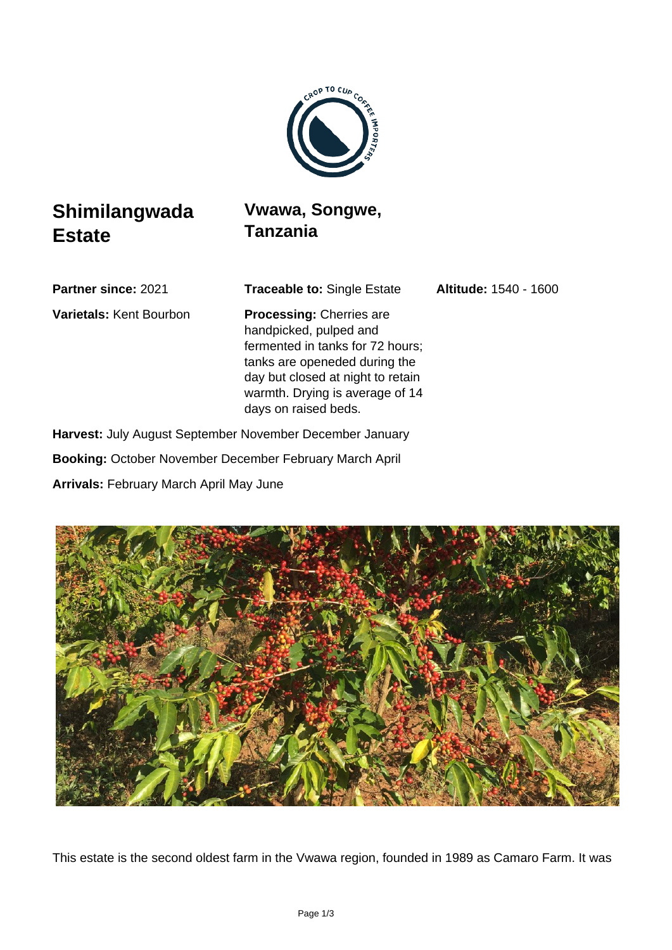

## **Shimilangwada Estate**

**Vwawa, Songwe, Tanzania**

**Partner since:** 2021 **Traceable to:** Single Estate **Altitude:** 1540 - 1600

**Varietals:** Kent Bourbon **Processing:** Cherries are handpicked, pulped and fermented in tanks for 72 hours; tanks are openeded during the day but closed at night to retain warmth. Drying is average of 14 days on raised beds.

**Harvest:** July August September November December January

**Booking:** October November December February March April

**Arrivals:** February March April May June



This estate is the second oldest farm in the Vwawa region, founded in 1989 as Camaro Farm. It was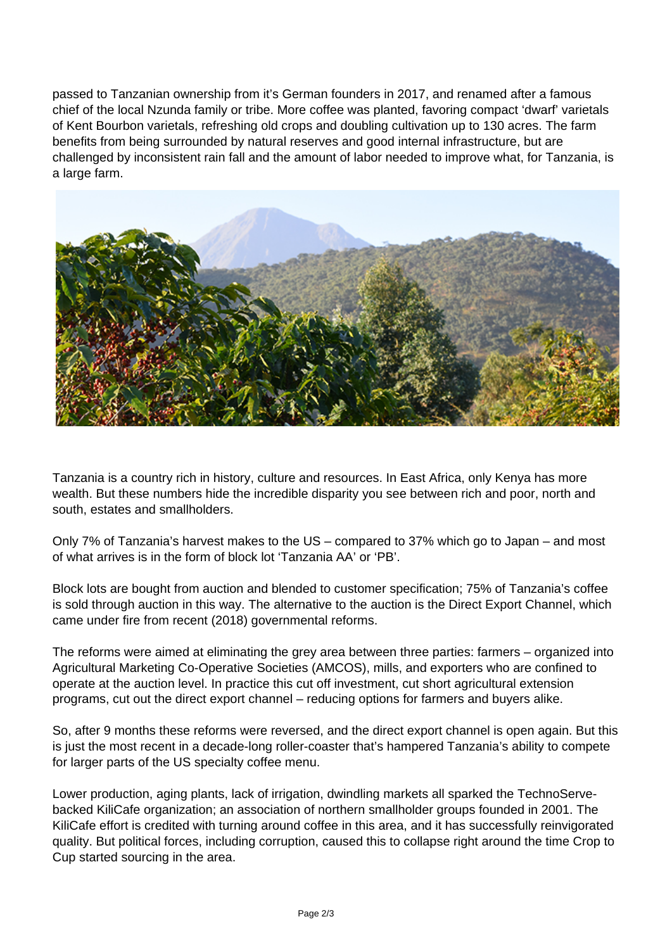passed to Tanzanian ownership from it's German founders in 2017, and renamed after a famous chief of the local Nzunda family or tribe. More coffee was planted, favoring compact 'dwarf' varietals of Kent Bourbon varietals, refreshing old crops and doubling cultivation up to 130 acres. The farm benefits from being surrounded by natural reserves and good internal infrastructure, but are challenged by inconsistent rain fall and the amount of labor needed to improve what, for Tanzania, is a large farm.



Tanzania is a country rich in history, culture and resources. In East Africa, only Kenya has more wealth. But these numbers hide the incredible disparity you see between rich and poor, north and south, estates and smallholders.

Only 7% of Tanzania's harvest makes to the US – compared to 37% which go to Japan – and most of what arrives is in the form of block lot 'Tanzania AA' or 'PB'.

Block lots are bought from auction and blended to customer specification; 75% of Tanzania's coffee is sold through auction in this way. The alternative to the auction is the Direct Export Channel, which came under fire from recent (2018) governmental reforms.

The reforms were aimed at eliminating the grey area between three parties: farmers – organized into Agricultural Marketing Co-Operative Societies (AMCOS), mills, and exporters who are confined to operate at the auction level. In practice this cut off investment, cut short agricultural extension programs, cut out the direct export channel – reducing options for farmers and buyers alike.

So, after 9 months these reforms were reversed, and the direct export channel is open again. But this is just the most recent in a decade-long roller-coaster that's hampered Tanzania's ability to compete for larger parts of the US specialty coffee menu.

Lower production, aging plants, lack of irrigation, dwindling markets all sparked the TechnoServebacked KiliCafe organization; an association of northern smallholder groups founded in 2001. The KiliCafe effort is credited with turning around coffee in this area, and it has successfully reinvigorated quality. But political forces, including corruption, caused this to collapse right around the time Crop to Cup started sourcing in the area.